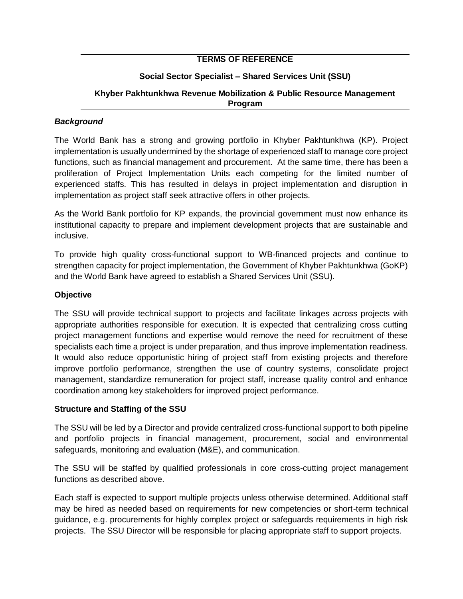## **TERMS OF REFERENCE**

# **Social Sector Specialist – Shared Services Unit (SSU)**

### **Khyber Pakhtunkhwa Revenue Mobilization & Public Resource Management Program**

### *Background*

The World Bank has a strong and growing portfolio in Khyber Pakhtunkhwa (KP). Project implementation is usually undermined by the shortage of experienced staff to manage core project functions, such as financial management and procurement. At the same time, there has been a proliferation of Project Implementation Units each competing for the limited number of experienced staffs. This has resulted in delays in project implementation and disruption in implementation as project staff seek attractive offers in other projects.

As the World Bank portfolio for KP expands, the provincial government must now enhance its institutional capacity to prepare and implement development projects that are sustainable and inclusive.

To provide high quality cross-functional support to WB-financed projects and continue to strengthen capacity for project implementation, the Government of Khyber Pakhtunkhwa (GoKP) and the World Bank have agreed to establish a Shared Services Unit (SSU).

### **Objective**

The SSU will provide technical support to projects and facilitate linkages across projects with appropriate authorities responsible for execution. It is expected that centralizing cross cutting project management functions and expertise would remove the need for recruitment of these specialists each time a project is under preparation, and thus improve implementation readiness. It would also reduce opportunistic hiring of project staff from existing projects and therefore improve portfolio performance, strengthen the use of country systems, consolidate project management, standardize remuneration for project staff, increase quality control and enhance coordination among key stakeholders for improved project performance.

### **Structure and Staffing of the SSU**

The SSU will be led by a Director and provide centralized cross-functional support to both pipeline and portfolio projects in financial management, procurement, social and environmental safeguards, monitoring and evaluation (M&E), and communication.

The SSU will be staffed by qualified professionals in core cross-cutting project management functions as described above.

Each staff is expected to support multiple projects unless otherwise determined. Additional staff may be hired as needed based on requirements for new competencies or short-term technical guidance, e.g. procurements for highly complex project or safeguards requirements in high risk projects. The SSU Director will be responsible for placing appropriate staff to support projects.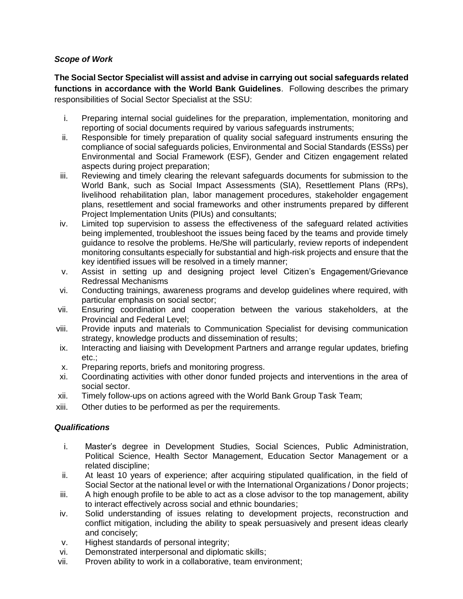# *Scope of Work*

**The Social Sector Specialist will assist and advise in carrying out social safeguards related functions in accordance with the World Bank Guidelines**. Following describes the primary responsibilities of Social Sector Specialist at the SSU:

- i. Preparing internal social guidelines for the preparation, implementation, monitoring and reporting of social documents required by various safeguards instruments;
- ii. Responsible for timely preparation of quality social safeguard instruments ensuring the compliance of social safeguards policies, Environmental and Social Standards (ESSs) per Environmental and Social Framework (ESF), Gender and Citizen engagement related aspects during project preparation;
- iii. Reviewing and timely clearing the relevant safeguards documents for submission to the World Bank, such as Social Impact Assessments (SIA), Resettlement Plans (RPs), livelihood rehabilitation plan, labor management procedures, stakeholder engagement plans, resettlement and social frameworks and other instruments prepared by different Project Implementation Units (PIUs) and consultants;
- iv. Limited top supervision to assess the effectiveness of the safeguard related activities being implemented, troubleshoot the issues being faced by the teams and provide timely guidance to resolve the problems. He/She will particularly, review reports of independent monitoring consultants especially for substantial and high-risk projects and ensure that the key identified issues will be resolved in a timely manner;
- v. Assist in setting up and designing project level Citizen's Engagement/Grievance Redressal Mechanisms
- vi. Conducting trainings, awareness programs and develop guidelines where required, with particular emphasis on social sector;
- vii. Ensuring coordination and cooperation between the various stakeholders, at the Provincial and Federal Level;
- viii. Provide inputs and materials to Communication Specialist for devising communication strategy, knowledge products and dissemination of results;
- ix. Interacting and liaising with Development Partners and arrange regular updates, briefing etc.;
- x. Preparing reports, briefs and monitoring progress.
- xi. Coordinating activities with other donor funded projects and interventions in the area of social sector.
- xii. Timely follow-ups on actions agreed with the World Bank Group Task Team;
- xiii. Other duties to be performed as per the requirements.

### *Qualifications*

- i. Master's degree in Development Studies, Social Sciences, Public Administration, Political Science, Health Sector Management, Education Sector Management or a related discipline;
- ii. At least 10 years of experience; after acquiring stipulated qualification, in the field of Social Sector at the national level or with the International Organizations / Donor projects;
- iii. A high enough profile to be able to act as a close advisor to the top management, ability to interact effectively across social and ethnic boundaries;
- iv. Solid understanding of issues relating to development projects, reconstruction and conflict mitigation, including the ability to speak persuasively and present ideas clearly and concisely;
- v. Highest standards of personal integrity;
- vi. Demonstrated interpersonal and diplomatic skills;
- vii. Proven ability to work in a collaborative, team environment;